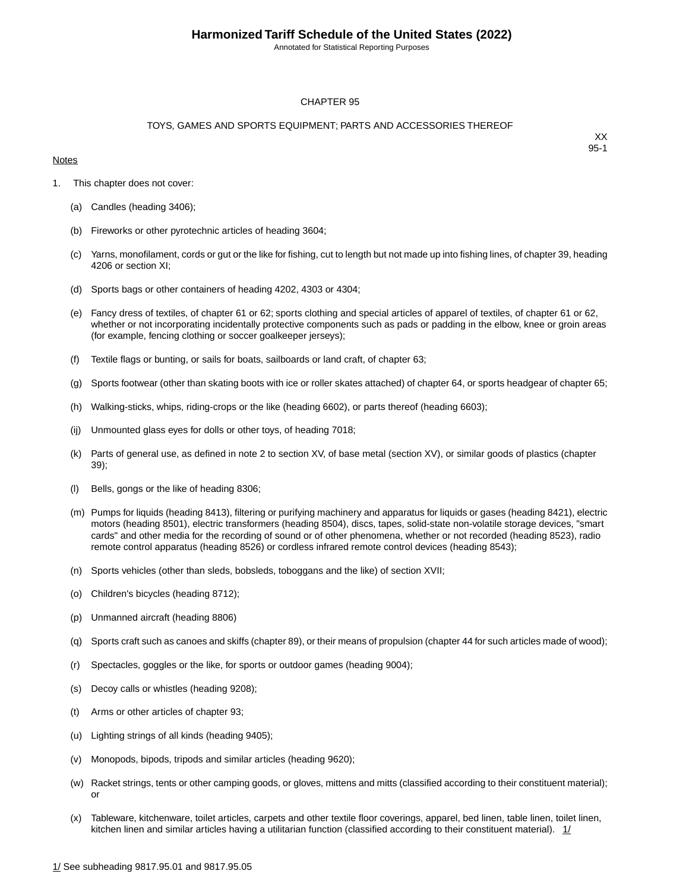Annotated for Statistical Reporting Purposes

#### CHAPTER 95

#### TOYS, GAMES AND SPORTS EQUIPMENT; PARTS AND ACCESSORIES THEREOF

#### **Notes**

- 1. This chapter does not cover:
	- (a) Candles (heading 3406);
	- (b) Fireworks or other pyrotechnic articles of heading 3604;
	- (c) Yarns, monofilament, cords or gut or the like for fishing, cut to length but not made up into fishing lines, of chapter 39, heading 4206 or section XI;
	- (d) Sports bags or other containers of heading 4202, 4303 or 4304;
	- (e) Fancy dress of textiles, of chapter 61 or 62; sports clothing and special articles of apparel of textiles, of chapter 61 or 62, whether or not incorporating incidentally protective components such as pads or padding in the elbow, knee or groin areas (for example, fencing clothing or soccer goalkeeper jerseys);
	- (f) Textile flags or bunting, or sails for boats, sailboards or land craft, of chapter 63;
	- (g) Sports footwear (other than skating boots with ice or roller skates attached) of chapter 64, or sports headgear of chapter 65;
	- (h) Walking-sticks, whips, riding-crops or the like (heading 6602), or parts thereof (heading 6603);
	- (ij) Unmounted glass eyes for dolls or other toys, of heading 7018;
	- (k) Parts of general use, as defined in note 2 to section XV, of base metal (section XV), or similar goods of plastics (chapter 39);
	- (l) Bells, gongs or the like of heading 8306;
	- (m) Pumps for liquids (heading 8413), filtering or purifying machinery and apparatus for liquids or gases (heading 8421), electric motors (heading 8501), electric transformers (heading 8504), discs, tapes, solid-state non-volatile storage devices, "smart cards" and other media for the recording of sound or of other phenomena, whether or not recorded (heading 8523), radio remote control apparatus (heading 8526) or cordless infrared remote control devices (heading 8543);
	- (n) Sports vehicles (other than sleds, bobsleds, toboggans and the like) of section XVII;
	- (o) Children's bicycles (heading 8712);
	- (p) Unmanned aircraft (heading 8806)
	- (q) Sports craft such as canoes and skiffs (chapter 89), or their means of propulsion (chapter 44 for such articles made of wood);
	- (r) Spectacles, goggles or the like, for sports or outdoor games (heading 9004);
	- (s) Decoy calls or whistles (heading 9208);
	- (t) Arms or other articles of chapter 93;
	- (u) Lighting strings of all kinds (heading 9405);
	- (v) Monopods, bipods, tripods and similar articles (heading 9620);
	- (w) Racket strings, tents or other camping goods, or gloves, mittens and mitts (classified according to their constituent material); or
	- (x) Tableware, kitchenware, toilet articles, carpets and other textile floor coverings, apparel, bed linen, table linen, toilet linen, kitchen linen and similar articles having a utilitarian function (classified according to their constituent material).  $1/$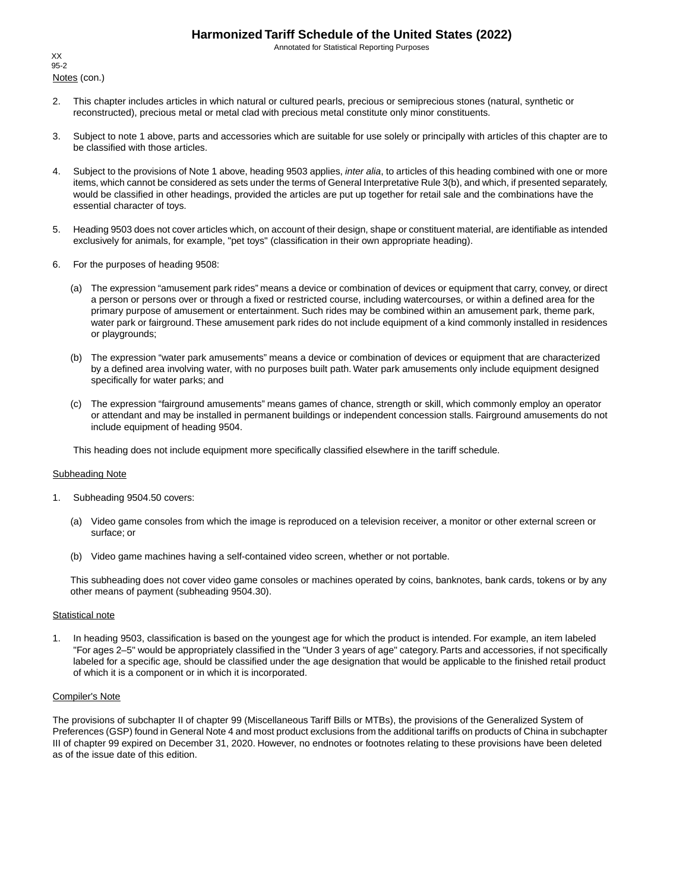Annotated for Statistical Reporting Purposes

Notes (con.) XX 95-2

- 2. This chapter includes articles in which natural or cultured pearls, precious or semiprecious stones (natural, synthetic or reconstructed), precious metal or metal clad with precious metal constitute only minor constituents.
- 3. Subject to note 1 above, parts and accessories which are suitable for use solely or principally with articles of this chapter are to be classified with those articles.
- 4. Subject to the provisions of Note 1 above, heading 9503 applies, *inter alia*, to articles of this heading combined with one or more items, which cannot be considered as sets under the terms of General Interpretative Rule 3(b), and which, if presented separately, would be classified in other headings, provided the articles are put up together for retail sale and the combinations have the essential character of toys.
- 5. Heading 9503 does not cover articles which, on account of their design, shape or constituent material, are identifiable as intended exclusively for animals, for example, "pet toys" (classification in their own appropriate heading).
- 6. For the purposes of heading 9508:
	- (a) The expression "amusement park rides" means a device or combination of devices or equipment that carry, convey, or direct a person or persons over or through a fixed or restricted course, including watercourses, or within a defined area for the primary purpose of amusement or entertainment. Such rides may be combined within an amusement park, theme park, water park or fairground.These amusement park rides do not include equipment of a kind commonly installed in residences or playgrounds;
	- (b) The expression "water park amusements" means a device or combination of devices or equipment that are characterized by a defined area involving water, with no purposes built path. Water park amusements only include equipment designed specifically for water parks; and
	- (c) The expression "fairground amusements" means games of chance, strength or skill, which commonly employ an operator or attendant and may be installed in permanent buildings or independent concession stalls. Fairground amusements do not include equipment of heading 9504.

This heading does not include equipment more specifically classified elsewhere in the tariff schedule.

#### Subheading Note

- 1. Subheading 9504.50 covers:
	- (a) Video game consoles from which the image is reproduced on a television receiver, a monitor or other external screen or surface; or
	- (b) Video game machines having a self-contained video screen, whether or not portable.

This subheading does not cover video game consoles or machines operated by coins, banknotes, bank cards, tokens or by any other means of payment (subheading 9504.30).

#### **Statistical note**

1. In heading 9503, classification is based on the youngest age for which the product is intended. For example, an item labeled "For ages 2–5" would be appropriately classified in the "Under 3 years of age" category. Parts and accessories, if not specifically labeled for a specific age, should be classified under the age designation that would be applicable to the finished retail product of which it is a component or in which it is incorporated.

#### Compiler's Note

The provisions of subchapter II of chapter 99 (Miscellaneous Tariff Bills or MTBs), the provisions of the Generalized System of Preferences (GSP) found in General Note 4 and most product exclusions from the additional tariffs on products of China in subchapter III of chapter 99 expired on December 31, 2020. However, no endnotes or footnotes relating to these provisions have been deleted as of the issue date of this edition.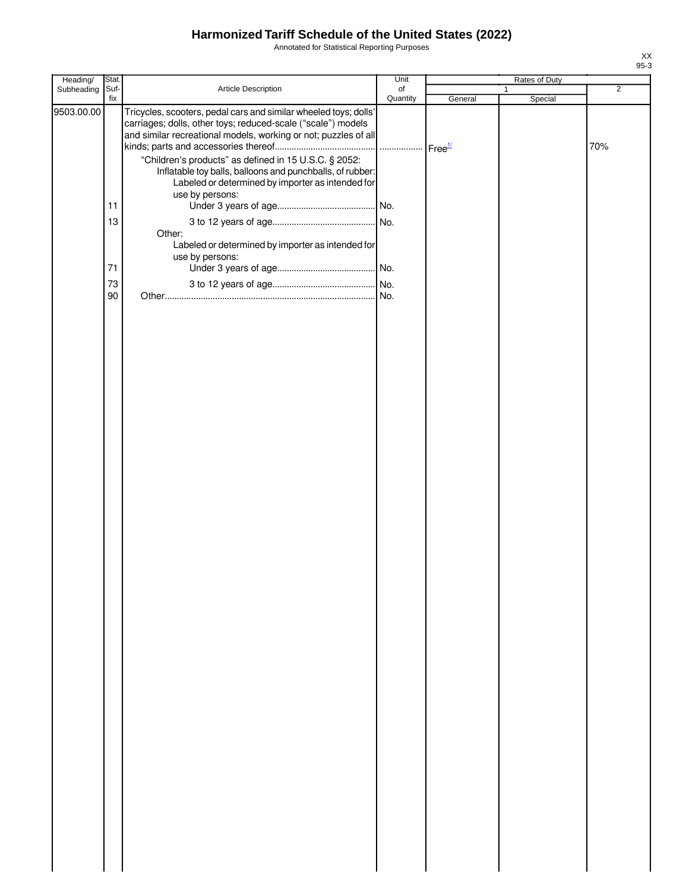Annotated for Statistical Reporting Purposes

| Heading/   | Stat.       |                                                                                                                                                                                                                                                                                                                                                                                | Unit           |         | Rates of Duty           |                |
|------------|-------------|--------------------------------------------------------------------------------------------------------------------------------------------------------------------------------------------------------------------------------------------------------------------------------------------------------------------------------------------------------------------------------|----------------|---------|-------------------------|----------------|
| Subheading | Suf-<br>fix | Article Description                                                                                                                                                                                                                                                                                                                                                            | of<br>Quantity | General | $\mathbf{1}$<br>Special | $\overline{2}$ |
| 9503.00.00 |             | Tricycles, scooters, pedal cars and similar wheeled toys; dolls'<br>carriages; dolls, other toys; reduced-scale ("scale") models<br>and similar recreational models, working or not; puzzles of all<br>"Children's products" as defined in 15 U.S.C. § 2052:<br>Inflatable toy balls, balloons and punchballs, of rubber:<br>Labeled or determined by importer as intended for |                |         |                         | 70%            |
|            | 11          | use by persons:                                                                                                                                                                                                                                                                                                                                                                |                |         |                         |                |
|            | 13          | Other:                                                                                                                                                                                                                                                                                                                                                                         |                |         |                         |                |
|            | 71          | Labeled or determined by importer as intended for<br>use by persons:                                                                                                                                                                                                                                                                                                           |                |         |                         |                |
|            | 73<br>90    |                                                                                                                                                                                                                                                                                                                                                                                |                |         |                         |                |
|            |             |                                                                                                                                                                                                                                                                                                                                                                                |                |         |                         |                |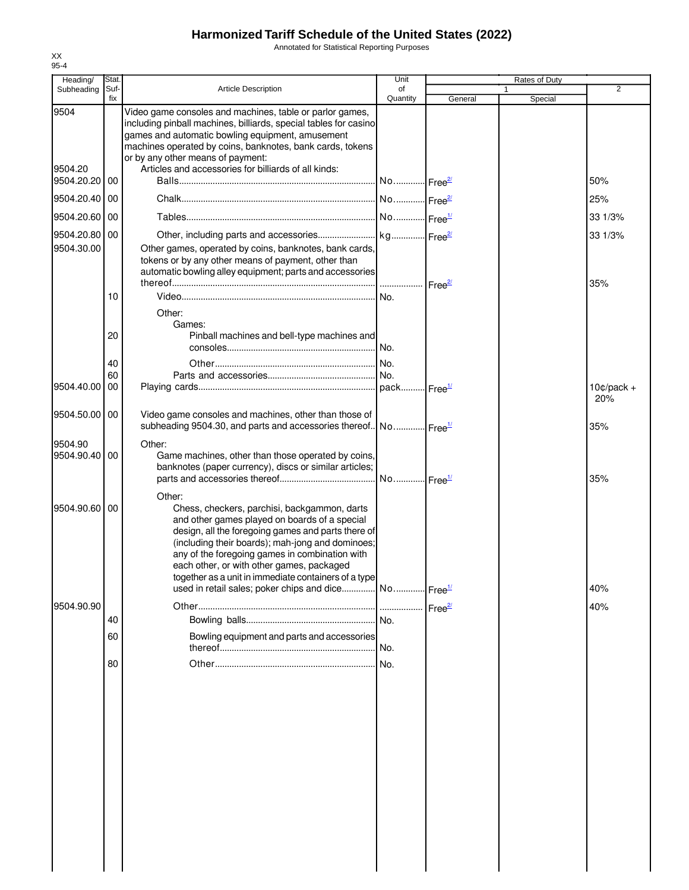Annotated for Statistical Reporting Purposes

| Heading/                         | Stat.       |                                                                                                                                                                                                                                                                                                                                                                                                                                              | Unit                  |                    | Rates of Duty |                     |
|----------------------------------|-------------|----------------------------------------------------------------------------------------------------------------------------------------------------------------------------------------------------------------------------------------------------------------------------------------------------------------------------------------------------------------------------------------------------------------------------------------------|-----------------------|--------------------|---------------|---------------------|
| Subheading                       | Suf-<br>fix | <b>Article Description</b>                                                                                                                                                                                                                                                                                                                                                                                                                   | of<br>Quantity        | General            | 1<br>Special  | $\overline{2}$      |
| 9504<br>9504.20<br>9504.20.20 00 |             | Video game consoles and machines, table or parlor games,<br>including pinball machines, billiards, special tables for casino<br>games and automatic bowling equipment, amusement<br>machines operated by coins, banknotes, bank cards, tokens<br>or by any other means of payment:<br>Articles and accessories for billiards of all kinds:                                                                                                   |                       |                    |               | 50%                 |
| 9504.20.40                       | 00          |                                                                                                                                                                                                                                                                                                                                                                                                                                              |                       |                    |               | 25%                 |
| 9504.20.60                       | 00          |                                                                                                                                                                                                                                                                                                                                                                                                                                              |                       |                    |               | 33 1/3%             |
| 9504.20.80 00                    |             |                                                                                                                                                                                                                                                                                                                                                                                                                                              |                       |                    |               |                     |
| 9504.30.00                       |             | Other games, operated by coins, banknotes, bank cards,<br>tokens or by any other means of payment, other than<br>automatic bowling alley equipment; parts and accessories                                                                                                                                                                                                                                                                    |                       |                    |               | 33 1/3%<br>35%      |
|                                  | 10          | Other:                                                                                                                                                                                                                                                                                                                                                                                                                                       | No.                   |                    |               |                     |
|                                  | 20          | Games:<br>Pinball machines and bell-type machines and                                                                                                                                                                                                                                                                                                                                                                                        |                       |                    |               |                     |
|                                  | 40<br>60    |                                                                                                                                                                                                                                                                                                                                                                                                                                              |                       |                    |               |                     |
| 9504.40.00                       | 00          |                                                                                                                                                                                                                                                                                                                                                                                                                                              |                       |                    |               | $10¢/pack +$<br>20% |
| 9504.50.00 00                    |             | Video game consoles and machines, other than those of<br>subheading 9504.30, and parts and accessories thereof. No Free <sup>1/</sup>                                                                                                                                                                                                                                                                                                        |                       |                    |               | 35%                 |
| 9504.90<br>9504.90.40            | 00          | Other:<br>Game machines, other than those operated by coins,<br>banknotes (paper currency), discs or similar articles;                                                                                                                                                                                                                                                                                                                       | No Free <sup>1/</sup> |                    |               | 35%                 |
| 9504.90.60 00                    |             | Other:<br>Chess, checkers, parchisi, backgammon, darts<br>and other games played on boards of a special<br>design, all the foregoing games and parts there of<br>(including their boards); mah-jong and dominoes;<br>any of the foregoing games in combination with<br>each other, or with other games, packaged<br>together as a unit in immediate containers of a type<br>used in retail sales; poker chips and dice No Free <sup>1/</sup> |                       |                    |               | 40%                 |
| 9504.90.90                       |             |                                                                                                                                                                                                                                                                                                                                                                                                                                              |                       | Free <sup>2/</sup> |               | 40%                 |
|                                  | 40          |                                                                                                                                                                                                                                                                                                                                                                                                                                              |                       |                    |               |                     |
|                                  | 60          | Bowling equipment and parts and accessories                                                                                                                                                                                                                                                                                                                                                                                                  | No.                   |                    |               |                     |
|                                  | 80          |                                                                                                                                                                                                                                                                                                                                                                                                                                              |                       |                    |               |                     |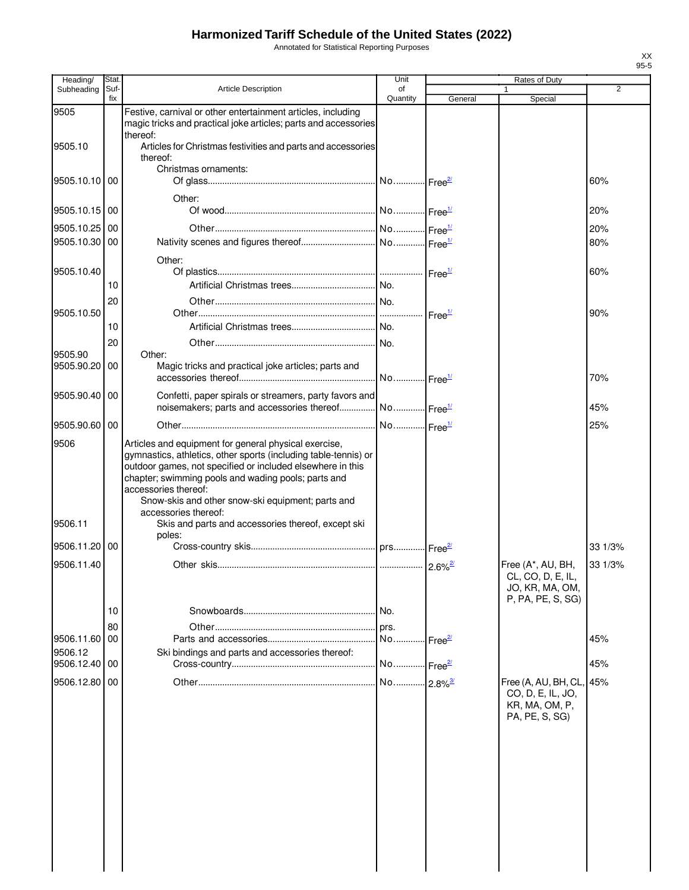Annotated for Statistical Reporting Purposes

| <b>Rates of Duty</b>                                                                      |
|-------------------------------------------------------------------------------------------|
| $\overline{2}$                                                                            |
|                                                                                           |
|                                                                                           |
| 60%                                                                                       |
| 20%                                                                                       |
| 20%                                                                                       |
| 80%                                                                                       |
| 60%                                                                                       |
|                                                                                           |
| 90%                                                                                       |
|                                                                                           |
|                                                                                           |
| 70%                                                                                       |
| 45%                                                                                       |
| 25%                                                                                       |
|                                                                                           |
|                                                                                           |
| 33 1/3%                                                                                   |
| Free (A*, AU, BH,<br>33 1/3%<br>CL, CO, D, E, IL,<br>JO, KR, MA, OM,<br>P, PA, PE, S, SG) |
|                                                                                           |
|                                                                                           |
| 45%                                                                                       |
| 45%                                                                                       |
| Free (A, AU, BH, CL, 45%                                                                  |
| CO, D, E, IL, JO,<br>KR, MA, OM, P,<br>PA, PE, S, SG)                                     |
|                                                                                           |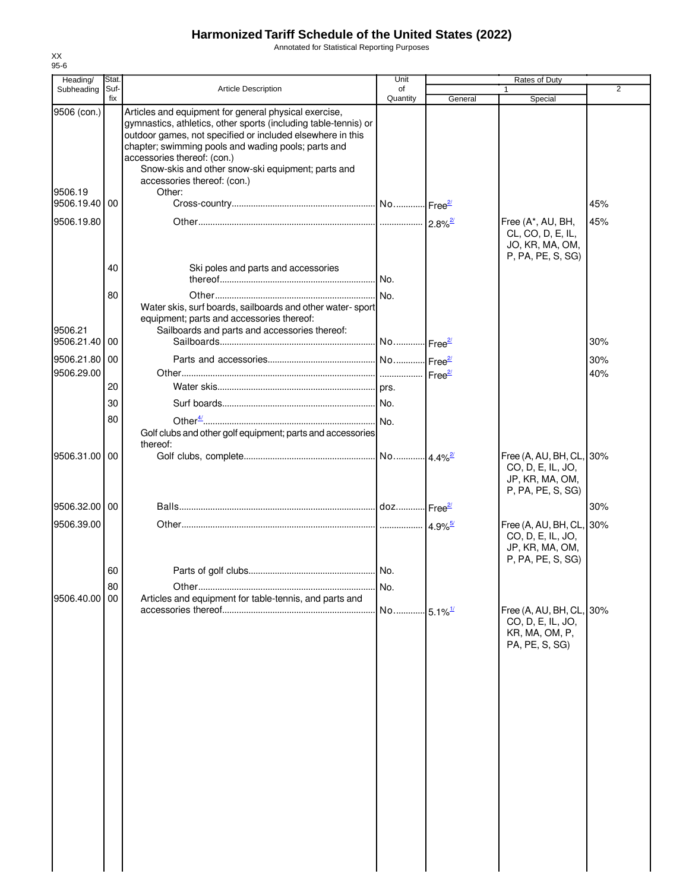Annotated for Statistical Reporting Purposes

| Heading/                    | Stat.       |                                                                                                                                                                                                                                                                                                                                                                  | Unit                  |                       | Rates of Duty                                                                         |                |
|-----------------------------|-------------|------------------------------------------------------------------------------------------------------------------------------------------------------------------------------------------------------------------------------------------------------------------------------------------------------------------------------------------------------------------|-----------------------|-----------------------|---------------------------------------------------------------------------------------|----------------|
| Subheading                  | Suf-<br>fix | <b>Article Description</b>                                                                                                                                                                                                                                                                                                                                       | of                    |                       |                                                                                       | $\overline{2}$ |
| 9506 (con.)                 |             | Articles and equipment for general physical exercise,<br>gymnastics, athletics, other sports (including table-tennis) or<br>outdoor games, not specified or included elsewhere in this<br>chapter; swimming pools and wading pools; parts and<br>accessories thereof: (con.)<br>Snow-skis and other snow-ski equipment; parts and<br>accessories thereof: (con.) | Quantity              | General               | Special                                                                               |                |
| 9506.19<br>9506.19.40 00    |             | Other:                                                                                                                                                                                                                                                                                                                                                           |                       |                       |                                                                                       | 45%            |
| 9506.19.80                  |             |                                                                                                                                                                                                                                                                                                                                                                  |                       | $2.8\%$ <sup>2/</sup> | Free (A*, AU, BH,<br>CL, CO, D, E, IL,<br>JO, KR, MA, OM,<br>P, PA, PE, S, SG)        | 45%            |
|                             | 40          | Ski poles and parts and accessories                                                                                                                                                                                                                                                                                                                              |                       |                       |                                                                                       |                |
|                             | 80          | Water skis, surf boards, sailboards and other water-sport<br>equipment; parts and accessories thereof:                                                                                                                                                                                                                                                           |                       |                       |                                                                                       |                |
| 9506.21<br>9506.21.40 00    |             | Sailboards and parts and accessories thereof:                                                                                                                                                                                                                                                                                                                    | No                    | ⊶ Free <sup>2/</sup>  |                                                                                       | 30%            |
| 9506.21.80 00<br>9506.29.00 |             |                                                                                                                                                                                                                                                                                                                                                                  |                       |                       |                                                                                       | 30%<br>40%     |
|                             | 20          |                                                                                                                                                                                                                                                                                                                                                                  |                       |                       |                                                                                       |                |
|                             | 30          |                                                                                                                                                                                                                                                                                                                                                                  |                       |                       |                                                                                       |                |
|                             | 80          | Golf clubs and other golf equipment; parts and accessories<br>thereof:                                                                                                                                                                                                                                                                                           |                       |                       |                                                                                       |                |
| 9506.31.00                  | 00          |                                                                                                                                                                                                                                                                                                                                                                  |                       |                       | Free (A, AU, BH, CL, 30%<br>CO, D, E, IL, JO,<br>JP, KR, MA, OM,<br>P, PA, PE, S, SG) |                |
| 9506.32.00 00               |             |                                                                                                                                                                                                                                                                                                                                                                  |                       |                       |                                                                                       | 30%            |
| 9506.39.00                  |             |                                                                                                                                                                                                                                                                                                                                                                  |                       | $4.9\%$ <sup>5/</sup> | Free (A, AU, BH, CL, 30%<br>CO, D, E, IL, JO,<br>JP, KR, MA, OM,<br>P, PA, PE, S, SG) |                |
|                             | 60          |                                                                                                                                                                                                                                                                                                                                                                  |                       |                       |                                                                                       |                |
| 9506.40.00                  | 80<br>00    | Articles and equipment for table-tennis, and parts and                                                                                                                                                                                                                                                                                                           | No.                   |                       | Free (A, AU, BH, CL, 30%                                                              |                |
|                             |             |                                                                                                                                                                                                                                                                                                                                                                  | No 5.1% <sup>1/</sup> |                       | CO, D, E, IL, JO,<br>KR, MA, OM, P,<br>PA, PE, S, SG)                                 |                |
|                             |             |                                                                                                                                                                                                                                                                                                                                                                  |                       |                       |                                                                                       |                |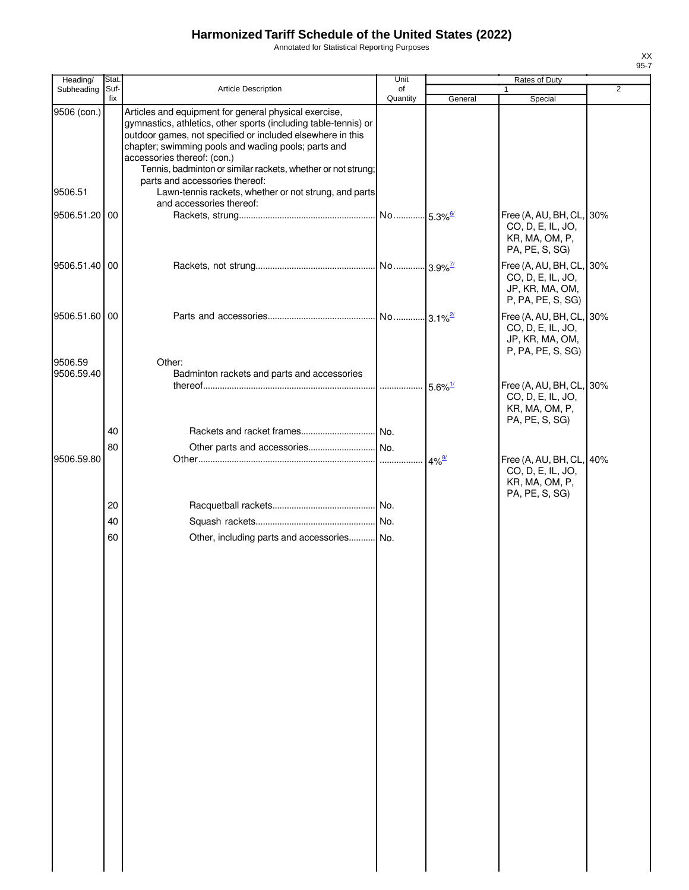Annotated for Statistical Reporting Purposes

| Heading/               | <b>Stat</b> |                                                                                                                                                                                                                                                                                                                                                                                                                                         | Unit           |                       | Rates of Duty                                                                         |   |
|------------------------|-------------|-----------------------------------------------------------------------------------------------------------------------------------------------------------------------------------------------------------------------------------------------------------------------------------------------------------------------------------------------------------------------------------------------------------------------------------------|----------------|-----------------------|---------------------------------------------------------------------------------------|---|
| Subheading             | Suf-<br>fix | <b>Article Description</b>                                                                                                                                                                                                                                                                                                                                                                                                              | of<br>Quantity | General               | 1<br>Special                                                                          | 2 |
| 9506 (con.)<br>9506.51 |             | Articles and equipment for general physical exercise,<br>gymnastics, athletics, other sports (including table-tennis) or<br>outdoor games, not specified or included elsewhere in this<br>chapter; swimming pools and wading pools; parts and<br>accessories thereof: (con.)<br>Tennis, badminton or similar rackets, whether or not strung;<br>parts and accessories thereof:<br>Lawn-tennis rackets, whether or not strung, and parts |                |                       |                                                                                       |   |
|                        |             | and accessories thereof:                                                                                                                                                                                                                                                                                                                                                                                                                |                |                       |                                                                                       |   |
| 9506.51.20             | 00          |                                                                                                                                                                                                                                                                                                                                                                                                                                         |                |                       | Free (A, AU, BH, CL, 30%<br>CO, D, E, IL, JO,<br>KR, MA, OM, P,<br>PA, PE, S, SG)     |   |
| 9506.51.40 00          |             |                                                                                                                                                                                                                                                                                                                                                                                                                                         |                |                       | Free (A, AU, BH, CL, 30%<br>CO, D, E, IL, JO,<br>JP, KR, MA, OM,<br>P, PA, PE, S, SG) |   |
| 9506.51.60 00          |             |                                                                                                                                                                                                                                                                                                                                                                                                                                         |                |                       | Free (A, AU, BH, CL, 30%<br>CO, D, E, IL, JO,<br>JP, KR, MA, OM,<br>P, PA, PE, S, SG) |   |
| 9506.59<br>9506.59.40  |             | Other:<br>Badminton rackets and parts and accessories                                                                                                                                                                                                                                                                                                                                                                                   |                | $5.6\%$ <sup>1/</sup> | Free (A, AU, BH, CL, 30%<br>CO, D, E, IL, JO,<br>KR, MA, OM, P,<br>PA, PE, S, SG)     |   |
|                        | 40          |                                                                                                                                                                                                                                                                                                                                                                                                                                         |                |                       |                                                                                       |   |
|                        | 80          |                                                                                                                                                                                                                                                                                                                                                                                                                                         |                |                       |                                                                                       |   |
| 9506.59.80             |             |                                                                                                                                                                                                                                                                                                                                                                                                                                         |                | $4\%$ <sup>8/</sup>   | Free (A, AU, BH, CL, 40%<br>CO, D, E, IL, JO,<br>KR, MA, OM, P,<br>PA, PE, S, SG)     |   |
|                        | 20          |                                                                                                                                                                                                                                                                                                                                                                                                                                         |                |                       |                                                                                       |   |
|                        | 40          |                                                                                                                                                                                                                                                                                                                                                                                                                                         |                |                       |                                                                                       |   |
|                        | 60          | Other, including parts and accessories No.                                                                                                                                                                                                                                                                                                                                                                                              |                |                       |                                                                                       |   |
|                        |             |                                                                                                                                                                                                                                                                                                                                                                                                                                         |                |                       |                                                                                       |   |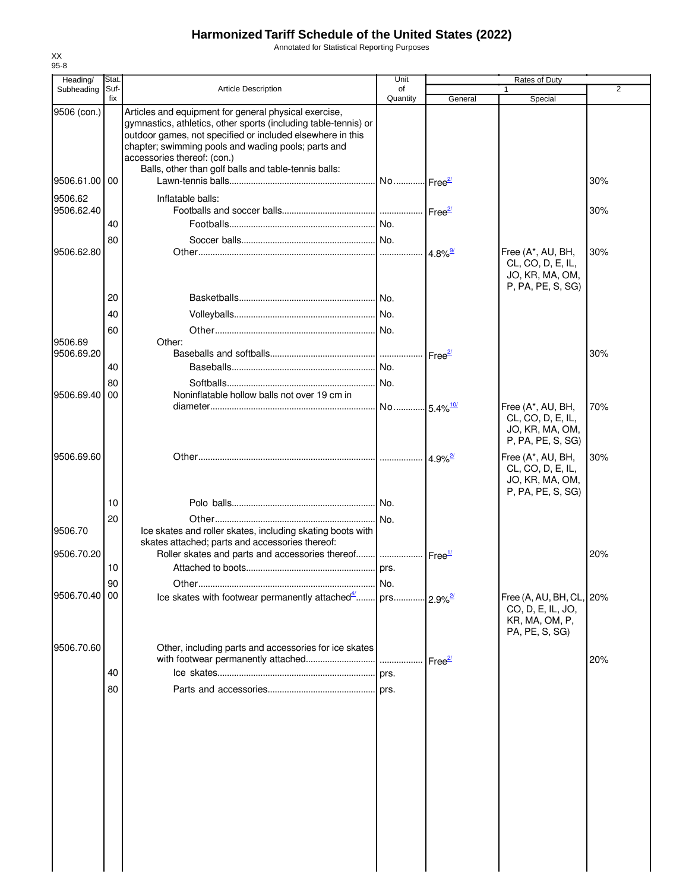Annotated for Statistical Reporting Purposes

| Heading/              | Stat.       |                                                                                                                                                                                                                                                                              | Unit                   |                       | Rates of Duty                                                                  |     |
|-----------------------|-------------|------------------------------------------------------------------------------------------------------------------------------------------------------------------------------------------------------------------------------------------------------------------------------|------------------------|-----------------------|--------------------------------------------------------------------------------|-----|
| Subheading            | Suf-<br>fix | <b>Article Description</b>                                                                                                                                                                                                                                                   | of<br>Quantity         | General               | Special                                                                        | 2   |
| 9506 (con.)           |             | Articles and equipment for general physical exercise,<br>gymnastics, athletics, other sports (including table-tennis) or<br>outdoor games, not specified or included elsewhere in this<br>chapter; swimming pools and wading pools; parts and<br>accessories thereof: (con.) |                        |                       |                                                                                |     |
| 9506.61.00 00         |             | Balls, other than golf balls and table-tennis balls:                                                                                                                                                                                                                         | No Free <sup>2/</sup>  |                       |                                                                                | 30% |
| 9506.62               |             | Inflatable balls:                                                                                                                                                                                                                                                            |                        |                       |                                                                                |     |
| 9506.62.40            |             |                                                                                                                                                                                                                                                                              |                        |                       |                                                                                | 30% |
|                       | 40          |                                                                                                                                                                                                                                                                              |                        |                       |                                                                                |     |
| 9506.62.80            | 80          |                                                                                                                                                                                                                                                                              |                        |                       | Free (A*, AU, BH,                                                              | 30% |
|                       |             |                                                                                                                                                                                                                                                                              |                        | $4.8\%$ <sup>9/</sup> | CL, CO, D, E, IL,<br>JO, KR, MA, OM,<br>P, PA, PE, S, SG)                      |     |
|                       | 20          |                                                                                                                                                                                                                                                                              |                        |                       |                                                                                |     |
|                       | 40          |                                                                                                                                                                                                                                                                              |                        |                       |                                                                                |     |
|                       | 60          |                                                                                                                                                                                                                                                                              |                        |                       |                                                                                |     |
| 9506.69<br>9506.69.20 |             | Other:                                                                                                                                                                                                                                                                       |                        |                       |                                                                                | 30% |
|                       | 40          |                                                                                                                                                                                                                                                                              |                        |                       |                                                                                |     |
|                       | 80          |                                                                                                                                                                                                                                                                              |                        |                       |                                                                                |     |
| 9506.69.40            | 00          | Noninflatable hollow balls not over 19 cm in                                                                                                                                                                                                                                 |                        |                       |                                                                                |     |
|                       |             |                                                                                                                                                                                                                                                                              | No 5.4% <sup>10/</sup> |                       | Free (A*, AU, BH,<br>CL, CO, D, E, IL,<br>JO, KR, MA, OM,<br>P, PA, PE, S, SG) | 70% |
| 9506.69.60            |             |                                                                                                                                                                                                                                                                              |                        |                       | Free (A*, AU, BH,<br>CL, CO, D, E, IL,<br>JO, KR, MA, OM,<br>P, PA, PE, S, SG) | 30% |
|                       | 10          |                                                                                                                                                                                                                                                                              |                        |                       |                                                                                |     |
|                       | 20          |                                                                                                                                                                                                                                                                              |                        |                       |                                                                                |     |
| 9506.70               |             | Ice skates and roller skates, including skating boots with<br>skates attached; parts and accessories thereof:                                                                                                                                                                |                        |                       |                                                                                |     |
| 9506.70.20            | 10          | Roller skates and parts and accessories thereof    Free <sup>1/</sup>                                                                                                                                                                                                        |                        |                       |                                                                                | 20% |
|                       | 90          |                                                                                                                                                                                                                                                                              |                        |                       |                                                                                |     |
| 9506.70.40            | 00          |                                                                                                                                                                                                                                                                              |                        |                       | Free (A, AU, BH, CL, 20%                                                       |     |
|                       |             |                                                                                                                                                                                                                                                                              |                        |                       | CO, D, E, IL, JO,<br>KR, MA, OM, P,<br>PA, PE, S, SG)                          |     |
| 9506.70.60            |             | Other, including parts and accessories for ice skates                                                                                                                                                                                                                        |                        |                       |                                                                                |     |
|                       | 40          |                                                                                                                                                                                                                                                                              |                        | Free $\frac{27}{2}$   |                                                                                | 20% |
|                       | 80          |                                                                                                                                                                                                                                                                              |                        |                       |                                                                                |     |
|                       |             |                                                                                                                                                                                                                                                                              |                        |                       |                                                                                |     |
|                       |             |                                                                                                                                                                                                                                                                              |                        |                       |                                                                                |     |
|                       |             |                                                                                                                                                                                                                                                                              |                        |                       |                                                                                |     |
|                       |             |                                                                                                                                                                                                                                                                              |                        |                       |                                                                                |     |
|                       |             |                                                                                                                                                                                                                                                                              |                        |                       |                                                                                |     |
|                       |             |                                                                                                                                                                                                                                                                              |                        |                       |                                                                                |     |
|                       |             |                                                                                                                                                                                                                                                                              |                        |                       |                                                                                |     |
|                       |             |                                                                                                                                                                                                                                                                              |                        |                       |                                                                                |     |
|                       |             |                                                                                                                                                                                                                                                                              |                        |                       |                                                                                |     |
|                       |             |                                                                                                                                                                                                                                                                              |                        |                       |                                                                                |     |
|                       |             |                                                                                                                                                                                                                                                                              |                        |                       |                                                                                |     |
|                       |             |                                                                                                                                                                                                                                                                              |                        |                       |                                                                                |     |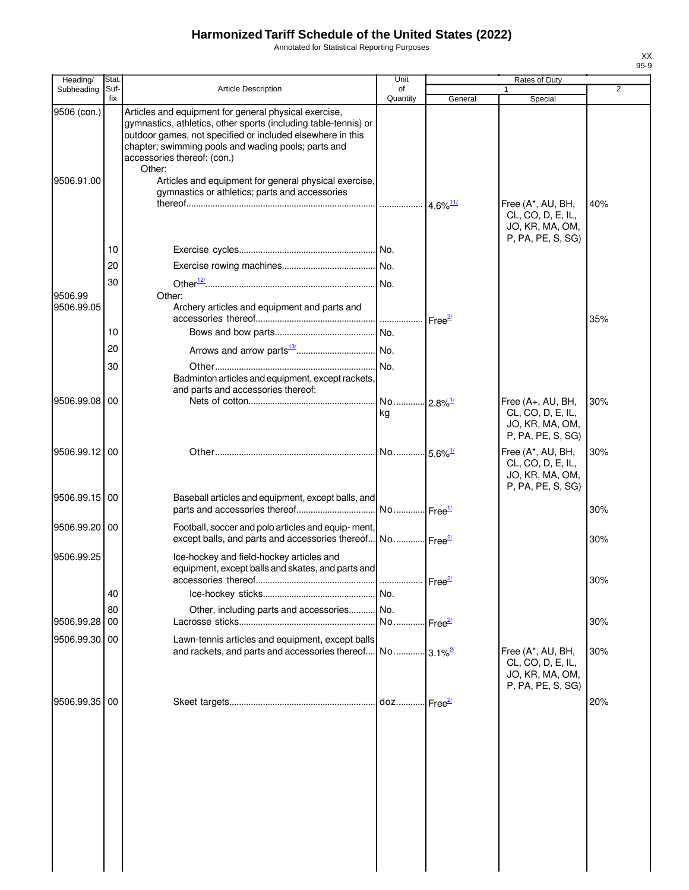Annotated for Statistical Reporting Purposes

| Heading/              | Stat.      |                                                                                                                                                                                                                                                                              | Unit                        |                        | Rates of Duty                                                                  |                |
|-----------------------|------------|------------------------------------------------------------------------------------------------------------------------------------------------------------------------------------------------------------------------------------------------------------------------------|-----------------------------|------------------------|--------------------------------------------------------------------------------|----------------|
| Subheading            | Suf<br>fix | <b>Article Description</b>                                                                                                                                                                                                                                                   | of<br>Quantity              | General                | Special                                                                        | $\overline{2}$ |
| 9506 (con.)           |            | Articles and equipment for general physical exercise,<br>gymnastics, athletics, other sports (including table-tennis) or<br>outdoor games, not specified or included elsewhere in this<br>chapter; swimming pools and wading pools; parts and<br>accessories thereof: (con.) |                             |                        |                                                                                |                |
| 9506.91.00            |            | Other:<br>Articles and equipment for general physical exercise,<br>gymnastics or athletics; parts and accessories                                                                                                                                                            |                             | $4.6\%$ <sup>11/</sup> | Free (A*, AU, BH,<br>CL, CO, D, E, IL,<br>JO, KR, MA, OM,                      | 40%            |
|                       |            |                                                                                                                                                                                                                                                                              |                             |                        | P, PA, PE, S, SG)                                                              |                |
|                       | 10         |                                                                                                                                                                                                                                                                              |                             |                        |                                                                                |                |
|                       | 20         |                                                                                                                                                                                                                                                                              |                             |                        |                                                                                |                |
| 9506.99<br>9506.99.05 | 30         | Other:<br>Archery articles and equipment and parts and                                                                                                                                                                                                                       |                             |                        |                                                                                |                |
|                       |            |                                                                                                                                                                                                                                                                              |                             |                        |                                                                                | 35%            |
|                       | 10         |                                                                                                                                                                                                                                                                              | No.                         |                        |                                                                                |                |
|                       | 20         |                                                                                                                                                                                                                                                                              |                             |                        |                                                                                |                |
|                       | 30         | Badminton articles and equipment, except rackets,<br>and parts and accessories thereof:                                                                                                                                                                                      | No.                         |                        |                                                                                |                |
| 9506.99.08            | 00         |                                                                                                                                                                                                                                                                              | No 2.8% <sup>1/</sup><br>kg |                        | Free (A+, AU, BH,<br>CL, CO, D, E, IL,<br>JO, KR, MA, OM,<br>P, PA, PE, S, SG) | 30%            |
| 9506.99.12 00         |            |                                                                                                                                                                                                                                                                              |                             |                        | Free (A*, AU, BH,<br>CL, CO, D, E, IL,<br>JO, KR, MA, OM,<br>P, PA, PE, S, SG) | 30%            |
| 9506.99.15 00         |            | Baseball articles and equipment, except balls, and                                                                                                                                                                                                                           | No Free <sup>1/</sup>       |                        |                                                                                | 30%            |
| 9506.99.20 00         |            | Football, soccer and polo articles and equip-ment,<br>except balls, and parts and accessories thereof No Free <sup>21</sup>                                                                                                                                                  |                             |                        |                                                                                | 30%            |
| 9506.99.25            |            | Ice-hockey and field-hockey articles and<br>equipment, except balls and skates, and parts and                                                                                                                                                                                |                             | Free <sup>2/</sup>     |                                                                                | 30%            |
|                       | 40         |                                                                                                                                                                                                                                                                              |                             |                        |                                                                                |                |
|                       | 80         | Other, including parts and accessories                                                                                                                                                                                                                                       | . No.                       |                        |                                                                                |                |
| 9506.99.28            | 00         |                                                                                                                                                                                                                                                                              | No Free <sup>21</sup>       |                        |                                                                                | 30%            |
| 9506.99.30            | 00         | Lawn-tennis articles and equipment, except balls<br>and rackets, and parts and accessories thereof No 3.1% <sup>2</sup>                                                                                                                                                      |                             |                        | Free (A*, AU, BH,<br>CL, CO, D, E, IL,<br>JO, KR, MA, OM,<br>P, PA, PE, S, SG) | 30%            |
| 9506.99.35 00         |            |                                                                                                                                                                                                                                                                              | doz Free $\frac{2l}{l}$     |                        |                                                                                | 20%            |
|                       |            |                                                                                                                                                                                                                                                                              |                             |                        |                                                                                |                |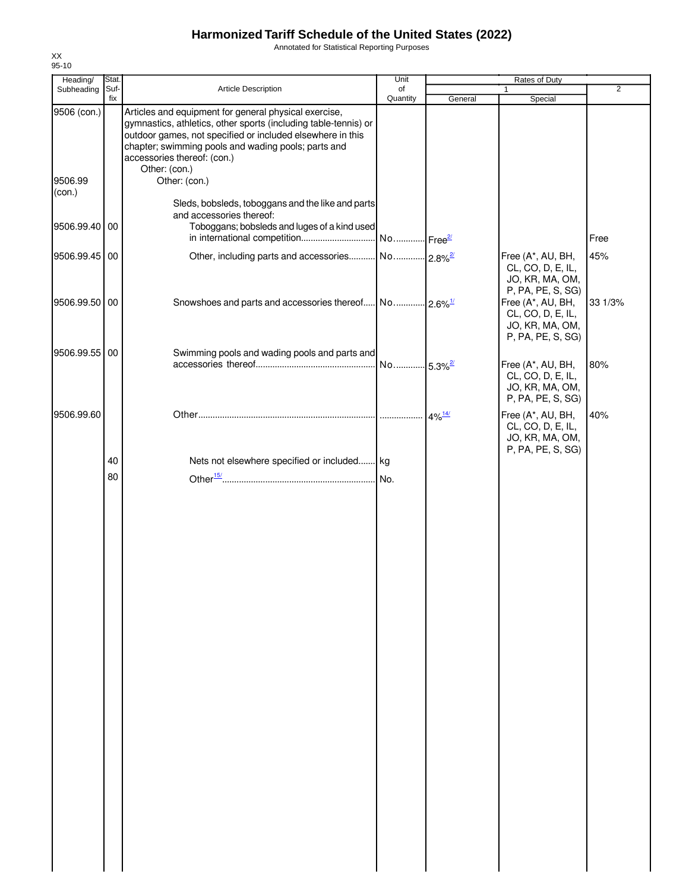Annotated for Statistical Reporting Purposes

| Heading/          | Stat.       |                                                                                                                                                                                                                                                                                               | Unit                  |         | Rates of Duty                                                                  |                |
|-------------------|-------------|-----------------------------------------------------------------------------------------------------------------------------------------------------------------------------------------------------------------------------------------------------------------------------------------------|-----------------------|---------|--------------------------------------------------------------------------------|----------------|
| Subheading        | Suf-<br>fix | Article Description                                                                                                                                                                                                                                                                           | of<br>Quantity        | General | 1<br>Special                                                                   | $\overline{2}$ |
| 9506 (con.)       |             | Articles and equipment for general physical exercise,<br>gymnastics, athletics, other sports (including table-tennis) or<br>outdoor games, not specified or included elsewhere in this<br>chapter; swimming pools and wading pools; parts and<br>accessories thereof: (con.)<br>Other: (con.) |                       |         |                                                                                |                |
| 9506.99<br>(con.) |             | Other: (con.)<br>Sleds, bobsleds, toboggans and the like and parts                                                                                                                                                                                                                            |                       |         |                                                                                |                |
| 9506.99.40 00     |             | and accessories thereof:<br>Toboggans; bobsleds and luges of a kind used                                                                                                                                                                                                                      |                       |         |                                                                                | Free           |
| 9506.99.45 00     |             |                                                                                                                                                                                                                                                                                               |                       |         | Free (A*, AU, BH,<br>CL, CO, D, E, IL,<br>JO, KR, MA, OM,<br>P, PA, PE, S, SG) | 45%            |
| 9506.99.50 00     |             |                                                                                                                                                                                                                                                                                               |                       |         | Free (A*, AU, BH,<br>CL, CO, D, E, IL,<br>JO, KR, MA, OM,<br>P, PA, PE, S, SG) | 33 1/3%        |
| 9506.99.55 00     |             | Swimming pools and wading pools and parts and                                                                                                                                                                                                                                                 | No 5.3% <sup>2/</sup> |         | Free (A*, AU, BH,<br>CL, CO, D, E, IL,<br>JO, KR, MA, OM,<br>P, PA, PE, S, SG) | 80%            |
| 9506.99.60        |             |                                                                                                                                                                                                                                                                                               |                       |         | Free (A*, AU, BH,<br>CL, CO, D, E, IL,<br>JO, KR, MA, OM,<br>P, PA, PE, S, SG) | 40%            |
|                   | 40          | Nets not elsewhere specified or included kg                                                                                                                                                                                                                                                   |                       |         |                                                                                |                |
|                   | 80          |                                                                                                                                                                                                                                                                                               |                       |         |                                                                                |                |
|                   |             |                                                                                                                                                                                                                                                                                               |                       |         |                                                                                |                |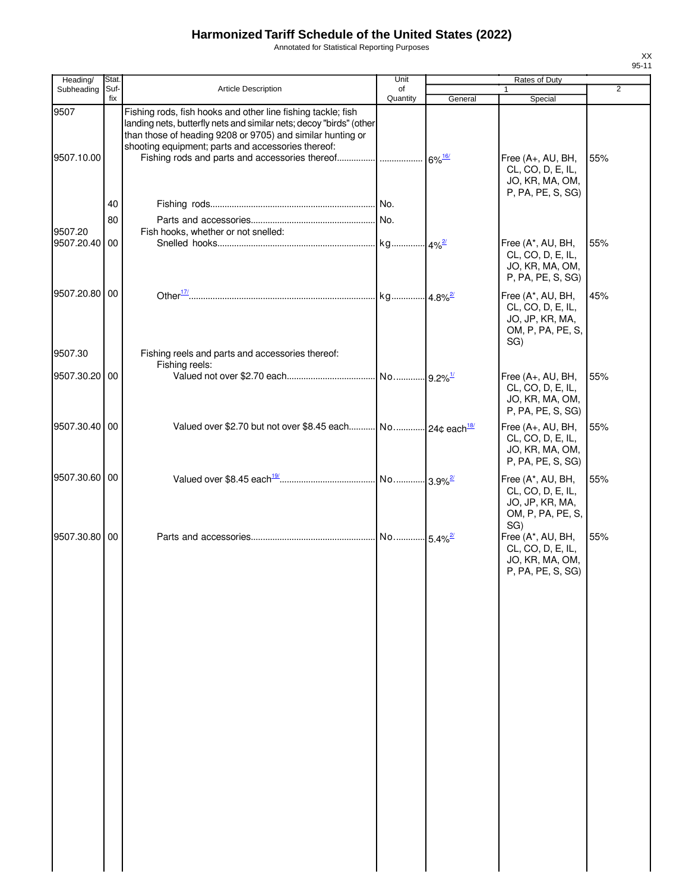Annotated for Statistical Reporting Purposes

| Heading/           | Stat.       |                                                                                                                                                                                                                                                         | Unit           |         |                                                                                       |                |
|--------------------|-------------|---------------------------------------------------------------------------------------------------------------------------------------------------------------------------------------------------------------------------------------------------------|----------------|---------|---------------------------------------------------------------------------------------|----------------|
| Subheading         | Suf-<br>fix | <b>Article Description</b>                                                                                                                                                                                                                              | of<br>Quantity | General | Special                                                                               | $\overline{2}$ |
| 9507<br>9507.10.00 |             | Fishing rods, fish hooks and other line fishing tackle; fish<br>landing nets, butterfly nets and similar nets; decoy "birds" (other<br>than those of heading 9208 or 9705) and similar hunting or<br>shooting equipment; parts and accessories thereof: |                |         | Free (A+, AU, BH,<br>CL, CO, D, E, IL,<br>JO, KR, MA, OM,                             | 55%            |
|                    | 40          |                                                                                                                                                                                                                                                         |                |         | P, PA, PE, S, SG)                                                                     |                |
|                    |             |                                                                                                                                                                                                                                                         |                |         |                                                                                       |                |
| 9507.20            | 80          | Fish hooks, whether or not snelled:                                                                                                                                                                                                                     |                |         |                                                                                       |                |
| 9507.20.40 00      |             |                                                                                                                                                                                                                                                         |                |         | Free (A*, AU, BH,<br>CL, CO, D, E, IL,<br>JO, KR, MA, OM,<br>P, PA, PE, S, SG)        | 55%            |
| 9507.20.80 00      |             |                                                                                                                                                                                                                                                         |                |         | Free (A*, AU, BH,<br>CL, CO, D, E, IL,<br>JO, JP, KR, MA,<br>OM, P, PA, PE, S,<br>SG) | 45%            |
| 9507.30            |             | Fishing reels and parts and accessories thereof:                                                                                                                                                                                                        |                |         |                                                                                       |                |
| 9507.30.20 00      |             | Fishing reels:                                                                                                                                                                                                                                          |                |         | Free (A+, AU, BH,<br>CL, CO, D, E, IL,<br>JO, KR, MA, OM,<br>P, PA, PE, S, SG)        | 55%            |
| 9507.30.40 00      |             | Valued over \$2.70 but not over \$8.45 each No 24¢ each <sup>18/</sup>                                                                                                                                                                                  |                |         | Free (A+, AU, BH,<br>CL, CO, D, E, IL,<br>JO, KR, MA, OM,<br>P, PA, PE, S, SG)        | 55%            |
| 9507.30.60 00      |             |                                                                                                                                                                                                                                                         |                |         | Free (A*, AU, BH,<br>CL, CO, D, E, IL,<br>JO, JP, KR, MA,<br>OM, P, PA, PE, S,        | 55%            |
| 9507.30.80 00      |             |                                                                                                                                                                                                                                                         |                |         | SG)<br>Free (A*, AU, BH,<br>CL, CO, D, E, IL,<br>JO, KR, MA, OM,<br>P, PA, PE, S, SG) | 55%            |
|                    |             |                                                                                                                                                                                                                                                         |                |         |                                                                                       |                |
|                    |             |                                                                                                                                                                                                                                                         |                |         |                                                                                       |                |
|                    |             |                                                                                                                                                                                                                                                         |                |         |                                                                                       |                |
|                    |             |                                                                                                                                                                                                                                                         |                |         |                                                                                       |                |
|                    |             |                                                                                                                                                                                                                                                         |                |         |                                                                                       |                |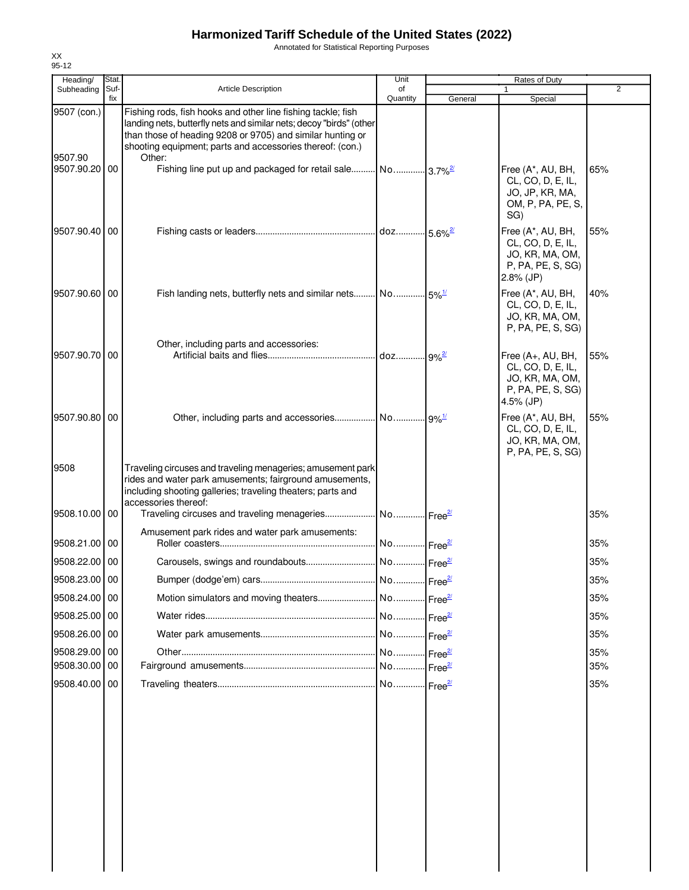Annotated for Statistical Reporting Purposes

| Subheading             | Suf- |                                                                                                                                                                                                                                                                          |                       |         |                                                                                                |     |
|------------------------|------|--------------------------------------------------------------------------------------------------------------------------------------------------------------------------------------------------------------------------------------------------------------------------|-----------------------|---------|------------------------------------------------------------------------------------------------|-----|
|                        | fix  | <b>Article Description</b>                                                                                                                                                                                                                                               | of<br>Quantity        | General | Special                                                                                        | 2   |
| 9507 (con.)<br>9507.90 |      | Fishing rods, fish hooks and other line fishing tackle; fish<br>landing nets, butterfly nets and similar nets; decoy "birds" (other<br>than those of heading 9208 or 9705) and similar hunting or<br>shooting equipment; parts and accessories thereof: (con.)<br>Other: |                       |         |                                                                                                |     |
| 9507.90.20 00          |      | Fishing line put up and packaged for retail sale No 3.7% <sup>2</sup>                                                                                                                                                                                                    |                       |         | Free (A*, AU, BH,<br>CL, CO, D, E, IL,<br>JO, JP, KR, MA,<br>OM, P, PA, PE, S,<br>SG)          | 65% |
| 9507.90.40 00          |      |                                                                                                                                                                                                                                                                          |                       |         | Free (A*, AU, BH,<br>CL, CO, D, E, IL,<br>JO, KR, MA, OM,<br>P, PA, PE, S, SG)<br>$2.8\%$ (JP) | 55% |
| 9507.90.60 00          |      |                                                                                                                                                                                                                                                                          |                       |         | Free (A*, AU, BH,<br>CL, CO, D, E, IL,<br>JO, KR, MA, OM,<br>P, PA, PE, S, SG)                 | 40% |
| 9507.90.70 00          |      | Other, including parts and accessories:                                                                                                                                                                                                                                  |                       |         | Free (A+, AU, BH,                                                                              | 55% |
|                        |      |                                                                                                                                                                                                                                                                          |                       |         | CL, CO, D, E, IL,<br>JO, KR, MA, OM,<br>P, PA, PE, S, SG)<br>4.5% (JP)                         |     |
| 9507.90.80 00          |      |                                                                                                                                                                                                                                                                          |                       |         | Free (A*, AU, BH,<br>CL, CO, D, E, IL,<br>JO, KR, MA, OM,<br>P, PA, PE, S, SG)                 | 55% |
| 9508                   |      | Traveling circuses and traveling menageries; amusement park<br>rides and water park amusements; fairground amusements,<br>including shooting galleries; traveling theaters; parts and<br>accessories thereof:                                                            |                       |         |                                                                                                |     |
| 9508.10.00 00          |      |                                                                                                                                                                                                                                                                          |                       |         |                                                                                                | 35% |
| 9508.21.00 00          |      | Amusement park rides and water park amusements:                                                                                                                                                                                                                          | No Free <sup>2/</sup> |         |                                                                                                | 35% |
| 9508.22.00 00          |      |                                                                                                                                                                                                                                                                          |                       |         |                                                                                                | 35% |
| 9508.23.00 00          |      |                                                                                                                                                                                                                                                                          |                       |         |                                                                                                | 35% |
| 9508.24.00 00          |      |                                                                                                                                                                                                                                                                          |                       |         |                                                                                                | 35% |
| 9508.25.00 00          |      |                                                                                                                                                                                                                                                                          |                       |         |                                                                                                | 35% |
| 9508.26.00 00          |      |                                                                                                                                                                                                                                                                          |                       |         |                                                                                                | 35% |
| 9508.29.00 00          |      |                                                                                                                                                                                                                                                                          |                       |         |                                                                                                | 35% |
| 9508.30.00 00          |      |                                                                                                                                                                                                                                                                          |                       |         |                                                                                                | 35% |
| 9508.40.00 00          |      |                                                                                                                                                                                                                                                                          |                       |         |                                                                                                | 35% |
|                        |      |                                                                                                                                                                                                                                                                          |                       |         |                                                                                                |     |
|                        |      |                                                                                                                                                                                                                                                                          |                       |         |                                                                                                |     |
|                        |      |                                                                                                                                                                                                                                                                          |                       |         |                                                                                                |     |

XX